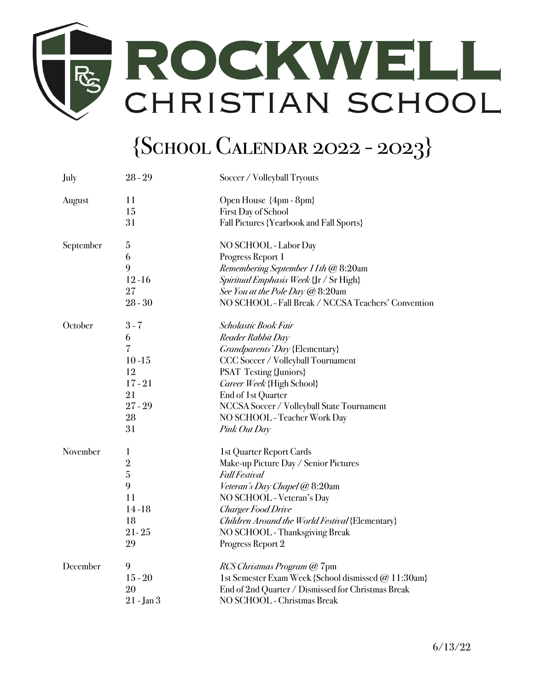

## {School Calendar 2022 - 2023}

| July      | $28 - 29$      | Soccer / Volleyball Tryouts                         |
|-----------|----------------|-----------------------------------------------------|
| August    | 11             | Open House {4pm - 8pm}                              |
|           | 15             | <b>First Day of School</b>                          |
|           | 31             | <b>Fall Pictures {Yearbook and Fall Sports}</b>     |
| September | 5              | NO SCHOOL - Labor Day                               |
|           | 6              | Progress Report 1                                   |
|           | 9              | Remembering September 11th @ 8:20am                 |
|           | $12 - 16$      | Spiritual Emphasis Week {Jr / Sr High}              |
|           | 27             | See You at the Pole Day @ 8:20am                    |
|           | $28 - 30$      | NO SCHOOL - Fall Break / NCCSA Teachers' Convention |
| October   | $3 - 7$        | Scholastic Book Fair                                |
|           | 6              | Reader Rabbit Day                                   |
|           | $\overline{7}$ | <i>Grandparents' Day</i> {Elementary}               |
|           | $10 - 15$      | CCC Soccer / Volleyball Tournament                  |
|           | 12             | <b>PSAT Testing {Juniors}</b>                       |
|           | $17 - 21$      | Career Week {High School}                           |
|           | 21             | End of 1st Quarter                                  |
|           | $27 - 29$      | NCCSA Soccer / Volleyball State Tournament          |
|           | 28             | NO SCHOOL - Teacher Work Day                        |
|           | 31             | Pink Out Day                                        |
| November  | $\mathbf{1}$   | <b>1st Quarter Report Cards</b>                     |
|           | $\overline{2}$ | Make-up Picture Day / Senior Pictures               |
|           | 5              | <b>Fall Festival</b>                                |
|           | 9              | Veteran's Day Chapel @ 8:20am                       |
|           | 11             | NO SCHOOL - Veteran's Day                           |
|           | $14 - 18$      | <b>Charger Food Drive</b>                           |
|           | 18             | Children Around the World Festival {Elementary}     |
|           | $21 - 25$      | NO SCHOOL - Thanksgiving Break                      |
|           | 29             | Progress Report 2                                   |
| December  | 9              | <i>RCS Christmas Program @</i> 7pm                  |
|           | $15 - 20$      | 1st Semester Exam Week {School dismissed @ 11:30am} |
|           | 20             | End of 2nd Quarter / Dismissed for Christmas Break  |
|           | 21 - Jan 3     | NO SCHOOL - Christmas Break                         |